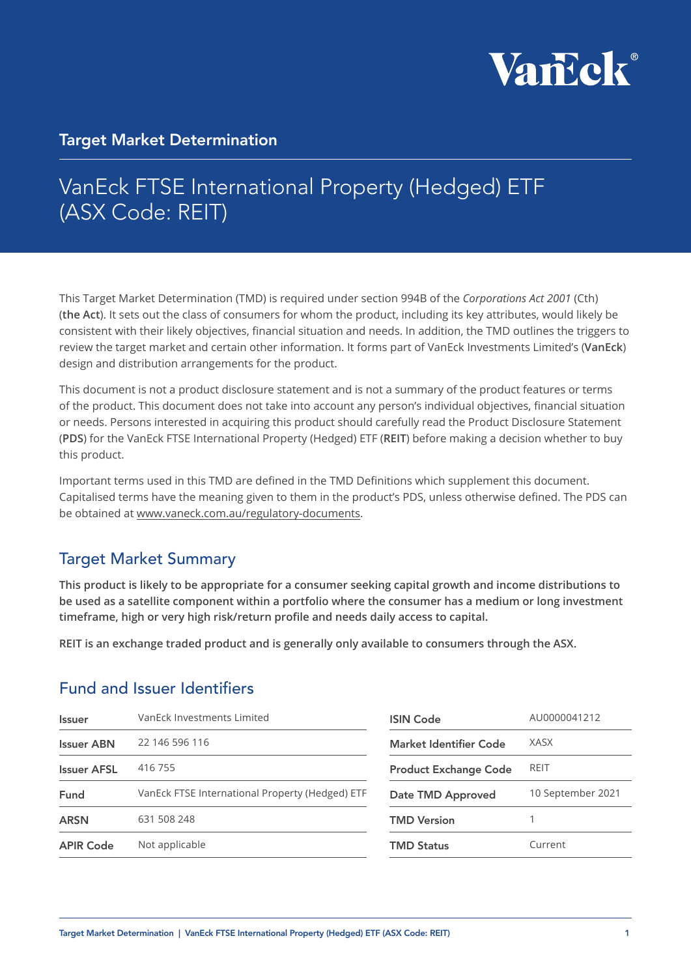

### Target Market Determination

# VanEck FTSE International Property (Hedged) ETF (ASX Code: REIT)

This Target Market Determination (TMD) is required under section 994B of the *Corporations Act 2001* (Cth) (**the Act**). It sets out the class of consumers for whom the product, including its key attributes, would likely be consistent with their likely objectives, financial situation and needs. In addition, the TMD outlines the triggers to review the target market and certain other information. It forms part of VanEck Investments Limited's (**VanEck**) design and distribution arrangements for the product.

This document is not a product disclosure statement and is not a summary of the product features or terms of the product. This document does not take into account any person's individual objectives, financial situation or needs. Persons interested in acquiring this product should carefully read the Product Disclosure Statement (**PDS**) for the VanEck FTSE International Property (Hedged) ETF (**REIT**) before making a decision whether to buy this product.

Important terms used in this TMD are defined in the TMD Definitions which supplement this document. Capitalised terms have the meaning given to them in the product's PDS, unless otherwise defined. The PDS can be obtained at [www.vaneck.com.au/regulatory-documents.](https://www.vaneck.com.au/regulatory-documents)

### Target Market Summary

**This product is likely to be appropriate for a consumer seeking capital growth and income distributions to be used as a satellite component within a portfolio where the consumer has a medium or long investment timeframe, high or very high risk/return profile and needs daily access to capital.**

**REIT is an exchange traded product and is generally only available to consumers through the ASX.**

### Fund and Issuer Identifiers

| <b>Issuer</b>      | VanEck Investments Limited                      | <b>ISIN Code</b>              | AU0000041212      |
|--------------------|-------------------------------------------------|-------------------------------|-------------------|
| <b>Issuer ABN</b>  | 22 146 596 116                                  | <b>Market Identifier Code</b> | <b>XASX</b>       |
| <b>Issuer AFSL</b> | 416 755                                         | <b>Product Exchange Code</b>  | <b>REIT</b>       |
| Fund               | VanEck FTSE International Property (Hedged) ETF | Date TMD Approved             | 10 September 2021 |
| <b>ARSN</b>        | 631 508 248                                     | <b>TMD Version</b>            |                   |
| <b>APIR Code</b>   | Not applicable                                  | <b>TMD Status</b>             | Current           |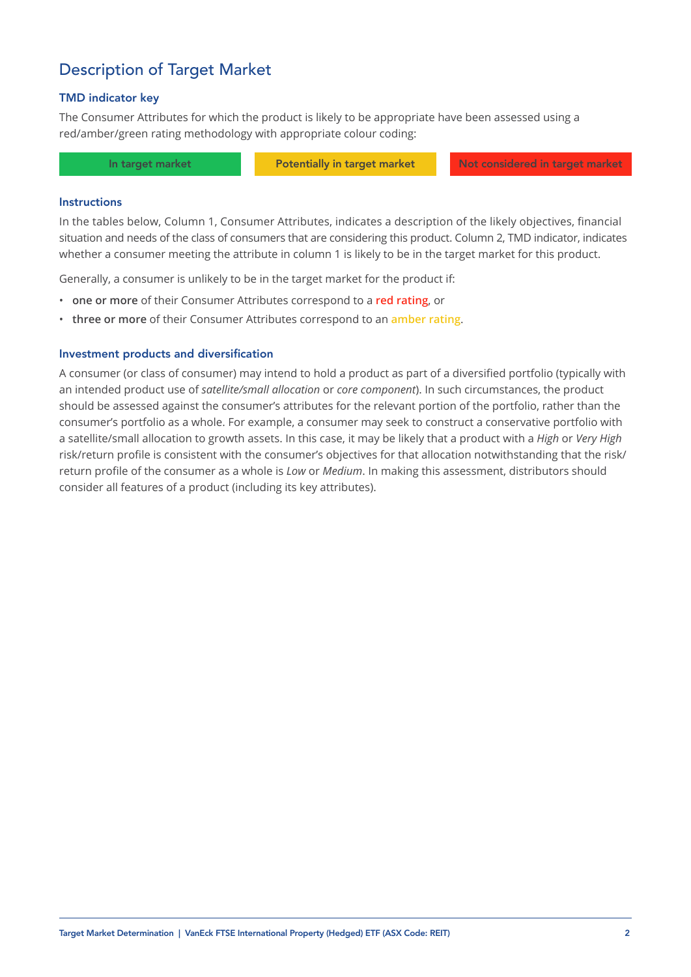### Description of Target Market

#### TMD indicator key

The Consumer Attributes for which the product is likely to be appropriate have been assessed using a red/amber/green rating methodology with appropriate colour coding:

In target market **Potentially in target market** Not considered in target market

#### **Instructions**

In the tables below, Column 1, Consumer Attributes, indicates a description of the likely objectives, financial situation and needs of the class of consumers that are considering this product. Column 2, TMD indicator, indicates whether a consumer meeting the attribute in column 1 is likely to be in the target market for this product.

Generally, a consumer is unlikely to be in the target market for the product if:

- **one or more** of their Consumer Attributes correspond to a **red rating**, or
- **three or more** of their Consumer Attributes correspond to an **amber rating**.

#### Investment products and diversification

A consumer (or class of consumer) may intend to hold a product as part of a diversified portfolio (typically with an intended product use of *satellite/small allocation* or *core component*). In such circumstances, the product should be assessed against the consumer's attributes for the relevant portion of the portfolio, rather than the consumer's portfolio as a whole. For example, a consumer may seek to construct a conservative portfolio with a satellite/small allocation to growth assets. In this case, it may be likely that a product with a *High* or *Very High*  risk/return profile is consistent with the consumer's objectives for that allocation notwithstanding that the risk/ return profile of the consumer as a whole is *Low* or *Medium*. In making this assessment, distributors should consider all features of a product (including its key attributes).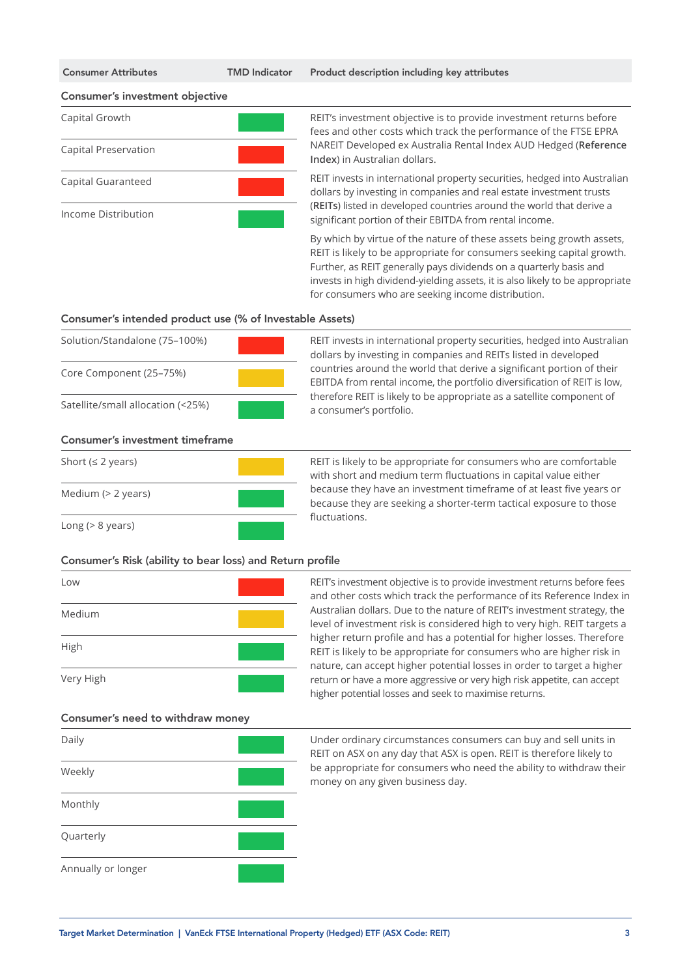#### Consumer's investment objective



Capital Growth REIT's investment objective is to provide investment returns before fees and other costs which track the performance of the FTSE EPRA NAREIT Developed ex Australia Rental Index AUD Hedged (**Reference Index**) in Australian dollars.

> REIT invests in international property securities, hedged into Australian dollars by investing in companies and real estate investment trusts (**REITs**) listed in developed countries around the world that derive a significant portion of their EBITDA from rental income.

> By which by virtue of the nature of these assets being growth assets, REIT is likely to be appropriate for consumers seeking capital growth. Further, as REIT generally pays dividends on a quarterly basis and invests in high dividend-yielding assets, it is also likely to be appropriate for consumers who are seeking income distribution.

#### Consumer's intended product use (% of Investable Assets)

| Solution/Standalone (75-100%)     |  |
|-----------------------------------|--|
| Core Component (25–75%)           |  |
| Satellite/small allocation (<25%) |  |

REIT invests in international property securities, hedged into Australian dollars by investing in companies and REITs listed in developed countries around the world that derive a significant portion of their EBITDA from rental income, the portfolio diversification of REIT is low, therefore REIT is likely to be appropriate as a satellite component of a consumer's portfolio.

#### Consumer's investment timeframe



Short ( $\leq 2$  years) REIT is likely to be appropriate for consumers who are comfortable with short and medium term fluctuations in capital value either because they have an investment timeframe of at least five years or because they are seeking a shorter-term tactical exposure to those fluctuations.

#### Consumer's Risk (ability to bear loss) and Return profile



Low REIT's investment objective is to provide investment returns before fees and other costs which track the performance of its Reference Index in Australian dollars. Due to the nature of REIT's investment strategy, the level of investment risk is considered high to very high. REIT targets a higher return profile and has a potential for higher losses. Therefore REIT is likely to be appropriate for consumers who are higher risk in nature, can accept higher potential losses in order to target a higher return or have a more aggressive or very high risk appetite, can accept higher potential losses and seek to maximise returns.

#### Consumer's need to withdraw money



Daily **Under ordinary circumstances consumers can buy and sell units in** REIT on ASX on any day that ASX is open. REIT is therefore likely to be appropriate for consumers who need the ability to withdraw their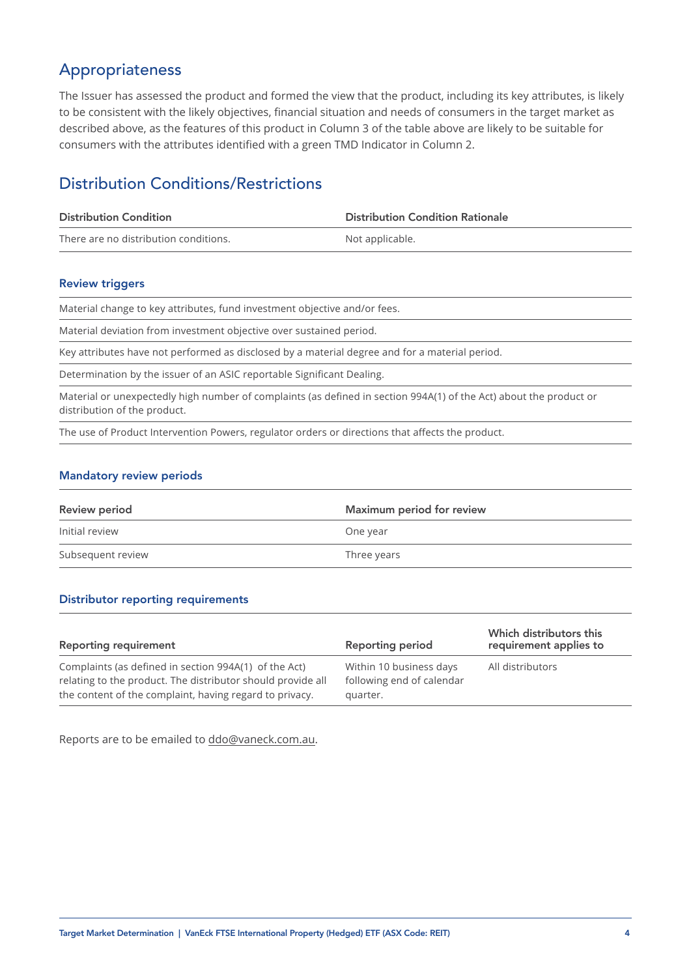### Appropriateness

The Issuer has assessed the product and formed the view that the product, including its key attributes, is likely to be consistent with the likely objectives, financial situation and needs of consumers in the target market as described above, as the features of this product in Column 3 of the table above are likely to be suitable for consumers with the attributes identified with a green TMD Indicator in Column 2.

### Distribution Conditions/Restrictions

| <b>Distribution Condition</b>         | <b>Distribution Condition Rationale</b> |
|---------------------------------------|-----------------------------------------|
| There are no distribution conditions. | Not applicable.                         |

#### Review triggers

Material change to key attributes, fund investment objective and/or fees.

Material deviation from investment objective over sustained period.

Key attributes have not performed as disclosed by a material degree and for a material period.

Determination by the issuer of an ASIC reportable Significant Dealing.

Material or unexpectedly high number of complaints (as defined in section 994A(1) of the Act) about the product or distribution of the product.

The use of Product Intervention Powers, regulator orders or directions that affects the product.

#### Mandatory review periods

| <b>Review period</b> | Maximum period for review |
|----------------------|---------------------------|
| Initial review       | One year                  |
| Subsequent review    | Three years               |

#### Distributor reporting requirements

| <b>Reporting requirement</b>                                                                                                                                                    | <b>Reporting period</b>                                          | Which distributors this<br>requirement applies to |
|---------------------------------------------------------------------------------------------------------------------------------------------------------------------------------|------------------------------------------------------------------|---------------------------------------------------|
| Complaints (as defined in section 994A(1) of the Act)<br>relating to the product. The distributor should provide all<br>the content of the complaint, having regard to privacy. | Within 10 business days<br>following end of calendar<br>quarter. | All distributors                                  |

Reports are to be emailed to [ddo@vaneck.com.au](mailto:ddo%40vaneck.com.au?subject=).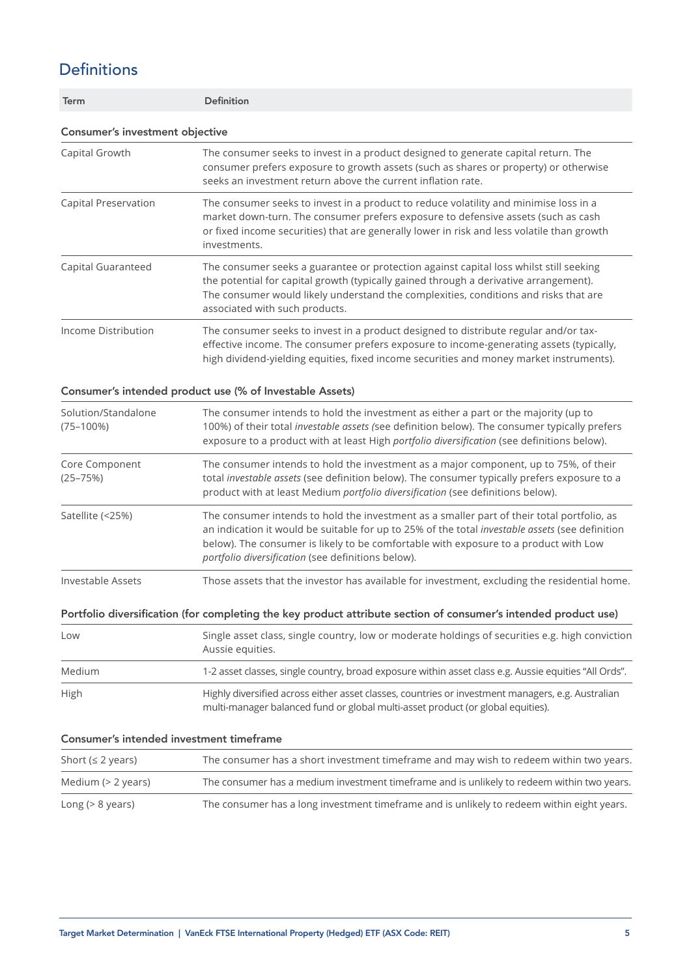## Definitions

| Term                                     | <b>Definition</b>                                                                                                                                                                                                                                                                                                                           |
|------------------------------------------|---------------------------------------------------------------------------------------------------------------------------------------------------------------------------------------------------------------------------------------------------------------------------------------------------------------------------------------------|
| Consumer's investment objective          |                                                                                                                                                                                                                                                                                                                                             |
| Capital Growth                           | The consumer seeks to invest in a product designed to generate capital return. The<br>consumer prefers exposure to growth assets (such as shares or property) or otherwise<br>seeks an investment return above the current inflation rate.                                                                                                  |
| Capital Preservation                     | The consumer seeks to invest in a product to reduce volatility and minimise loss in a<br>market down-turn. The consumer prefers exposure to defensive assets (such as cash<br>or fixed income securities) that are generally lower in risk and less volatile than growth<br>investments.                                                    |
| Capital Guaranteed                       | The consumer seeks a guarantee or protection against capital loss whilst still seeking<br>the potential for capital growth (typically gained through a derivative arrangement).<br>The consumer would likely understand the complexities, conditions and risks that are<br>associated with such products.                                   |
| Income Distribution                      | The consumer seeks to invest in a product designed to distribute regular and/or tax-<br>effective income. The consumer prefers exposure to income-generating assets (typically,<br>high dividend-yielding equities, fixed income securities and money market instruments).                                                                  |
|                                          | Consumer's intended product use (% of Investable Assets)                                                                                                                                                                                                                                                                                    |
| Solution/Standalone<br>$(75 - 100%)$     | The consumer intends to hold the investment as either a part or the majority (up to<br>100%) of their total investable assets (see definition below). The consumer typically prefers<br>exposure to a product with at least High portfolio diversification (see definitions below).                                                         |
| Core Component<br>$(25 - 75%)$           | The consumer intends to hold the investment as a major component, up to 75%, of their<br>total investable assets (see definition below). The consumer typically prefers exposure to a<br>product with at least Medium portfolio diversification (see definitions below).                                                                    |
| Satellite (<25%)                         | The consumer intends to hold the investment as a smaller part of their total portfolio, as<br>an indication it would be suitable for up to 25% of the total investable assets (see definition<br>below). The consumer is likely to be comfortable with exposure to a product with Low<br>portfolio diversification (see definitions below). |
| Investable Assets                        | Those assets that the investor has available for investment, excluding the residential home.                                                                                                                                                                                                                                                |
|                                          | Portfolio diversification (for completing the key product attribute section of consumer's intended product use)                                                                                                                                                                                                                             |
| Low                                      | Single asset class, single country, low or moderate holdings of securities e.g. high conviction<br>Aussie equities.                                                                                                                                                                                                                         |
| Medium                                   | 1-2 asset classes, single country, broad exposure within asset class e.g. Aussie equities "All Ords".                                                                                                                                                                                                                                       |
| High                                     | Highly diversified across either asset classes, countries or investment managers, e.g. Australian<br>multi-manager balanced fund or global multi-asset product (or global equities).                                                                                                                                                        |
| Consumer's intended investment timeframe |                                                                                                                                                                                                                                                                                                                                             |
| Short ( $\leq$ 2 years)                  | The consumer has a short investment timeframe and may wish to redeem within two years.                                                                                                                                                                                                                                                      |
| Medium (> 2 years)                       | The consumer has a medium investment timeframe and is unlikely to redeem within two years.                                                                                                                                                                                                                                                  |

Long (> 8 years) The consumer has a long investment timeframe and is unlikely to redeem within eight years.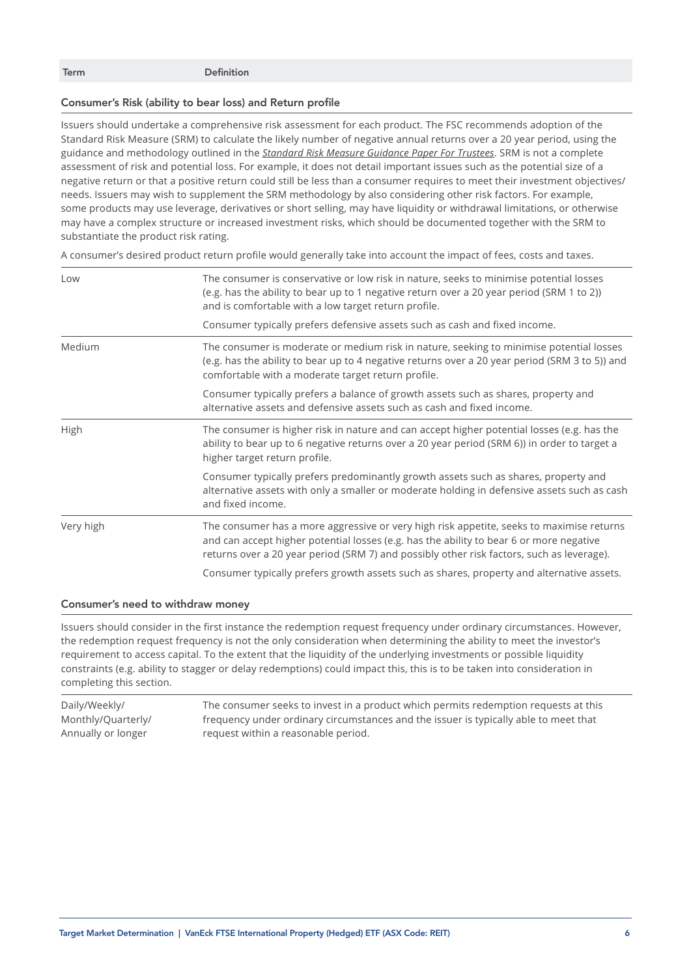Term Definition

#### Consumer's Risk (ability to bear loss) and Return profile

Issuers should undertake a comprehensive risk assessment for each product. The FSC recommends adoption of the Standard Risk Measure (SRM) to calculate the likely number of negative annual returns over a 20 year period, using the guidance and methodology outlined in the *[Standard Risk Measure Guidance Paper For Trustees](https://protect-eu.mimecast.com/s/pqPaCwVNmtGRQpvMFVpVgu?domain=urldefense.com)*. SRM is not a complete assessment of risk and potential loss. For example, it does not detail important issues such as the potential size of a negative return or that a positive return could still be less than a consumer requires to meet their investment objectives/ needs. Issuers may wish to supplement the SRM methodology by also considering other risk factors. For example, some products may use leverage, derivatives or short selling, may have liquidity or withdrawal limitations, or otherwise may have a complex structure or increased investment risks, which should be documented together with the SRM to substantiate the product risk rating.

A consumer's desired product return profile would generally take into account the impact of fees, costs and taxes.

| Low       | The consumer is conservative or low risk in nature, seeks to minimise potential losses<br>(e.g. has the ability to bear up to 1 negative return over a 20 year period (SRM 1 to 2))<br>and is comfortable with a low target return profile.                                      |
|-----------|----------------------------------------------------------------------------------------------------------------------------------------------------------------------------------------------------------------------------------------------------------------------------------|
|           | Consumer typically prefers defensive assets such as cash and fixed income.                                                                                                                                                                                                       |
| Medium    | The consumer is moderate or medium risk in nature, seeking to minimise potential losses<br>(e.g. has the ability to bear up to 4 negative returns over a 20 year period (SRM 3 to 5)) and<br>comfortable with a moderate target return profile.                                  |
|           | Consumer typically prefers a balance of growth assets such as shares, property and<br>alternative assets and defensive assets such as cash and fixed income.                                                                                                                     |
| High      | The consumer is higher risk in nature and can accept higher potential losses (e.g. has the<br>ability to bear up to 6 negative returns over a 20 year period (SRM 6)) in order to target a<br>higher target return profile.                                                      |
|           | Consumer typically prefers predominantly growth assets such as shares, property and<br>alternative assets with only a smaller or moderate holding in defensive assets such as cash<br>and fixed income.                                                                          |
| Very high | The consumer has a more aggressive or very high risk appetite, seeks to maximise returns<br>and can accept higher potential losses (e.g. has the ability to bear 6 or more negative<br>returns over a 20 year period (SRM 7) and possibly other risk factors, such as leverage). |
|           | Consumer typically prefers growth assets such as shares, property and alternative assets.                                                                                                                                                                                        |

### Consumer's need to withdraw money

Issuers should consider in the first instance the redemption request frequency under ordinary circumstances. However, the redemption request frequency is not the only consideration when determining the ability to meet the investor's requirement to access capital. To the extent that the liquidity of the underlying investments or possible liquidity constraints (e.g. ability to stagger or delay redemptions) could impact this, this is to be taken into consideration in completing this section.

Daily/Weekly/ Monthly/Quarterly/ Annually or longer The consumer seeks to invest in a product which permits redemption requests at this frequency under ordinary circumstances and the issuer is typically able to meet that request within a reasonable period.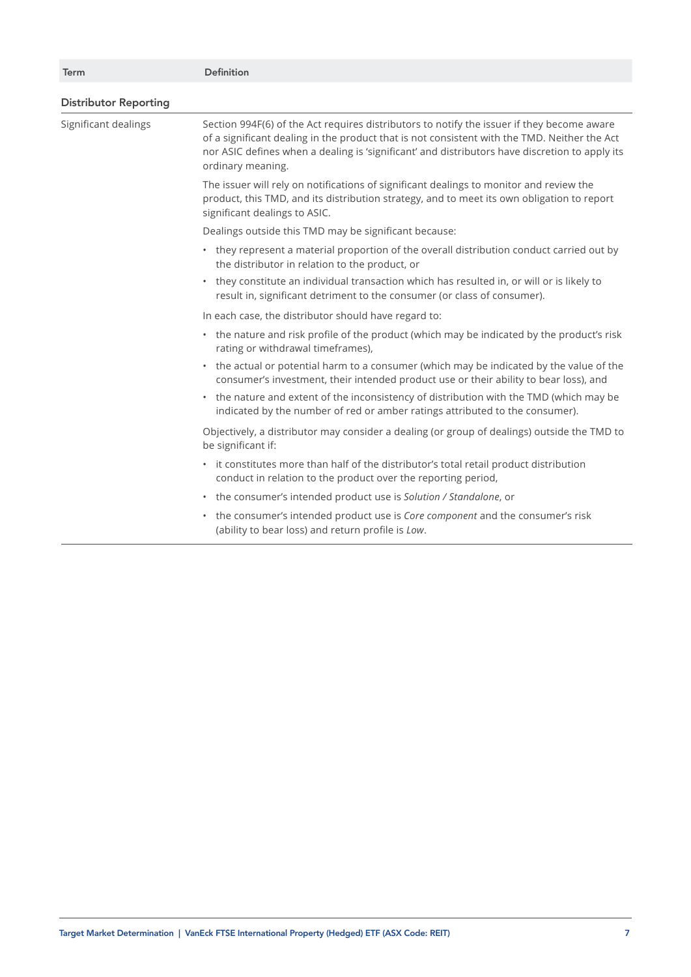| <b>Term</b>                  | <b>Definition</b>                                                                                                                                                                                                                                                                                                 |
|------------------------------|-------------------------------------------------------------------------------------------------------------------------------------------------------------------------------------------------------------------------------------------------------------------------------------------------------------------|
| <b>Distributor Reporting</b> |                                                                                                                                                                                                                                                                                                                   |
| Significant dealings         | Section 994F(6) of the Act requires distributors to notify the issuer if they become aware<br>of a significant dealing in the product that is not consistent with the TMD. Neither the Act<br>nor ASIC defines when a dealing is 'significant' and distributors have discretion to apply its<br>ordinary meaning. |
|                              | The issuer will rely on notifications of significant dealings to monitor and review the<br>product, this TMD, and its distribution strategy, and to meet its own obligation to report<br>significant dealings to ASIC.                                                                                            |
|                              | Dealings outside this TMD may be significant because:                                                                                                                                                                                                                                                             |
|                              | • they represent a material proportion of the overall distribution conduct carried out by<br>the distributor in relation to the product, or                                                                                                                                                                       |
|                              | they constitute an individual transaction which has resulted in, or will or is likely to<br>$\bullet$<br>result in, significant detriment to the consumer (or class of consumer).                                                                                                                                 |
|                              | In each case, the distributor should have regard to:                                                                                                                                                                                                                                                              |
|                              | • the nature and risk profile of the product (which may be indicated by the product's risk<br>rating or withdrawal timeframes),                                                                                                                                                                                   |
|                              | • the actual or potential harm to a consumer (which may be indicated by the value of the<br>consumer's investment, their intended product use or their ability to bear loss), and                                                                                                                                 |
|                              | • the nature and extent of the inconsistency of distribution with the TMD (which may be<br>indicated by the number of red or amber ratings attributed to the consumer).                                                                                                                                           |
|                              | Objectively, a distributor may consider a dealing (or group of dealings) outside the TMD to<br>be significant if:                                                                                                                                                                                                 |
|                              | • it constitutes more than half of the distributor's total retail product distribution<br>conduct in relation to the product over the reporting period,                                                                                                                                                           |
|                              | • the consumer's intended product use is Solution / Standalone, or                                                                                                                                                                                                                                                |
|                              | the consumer's intended product use is Core component and the consumer's risk<br>$\bullet$<br>(ability to bear loss) and return profile is Low.                                                                                                                                                                   |